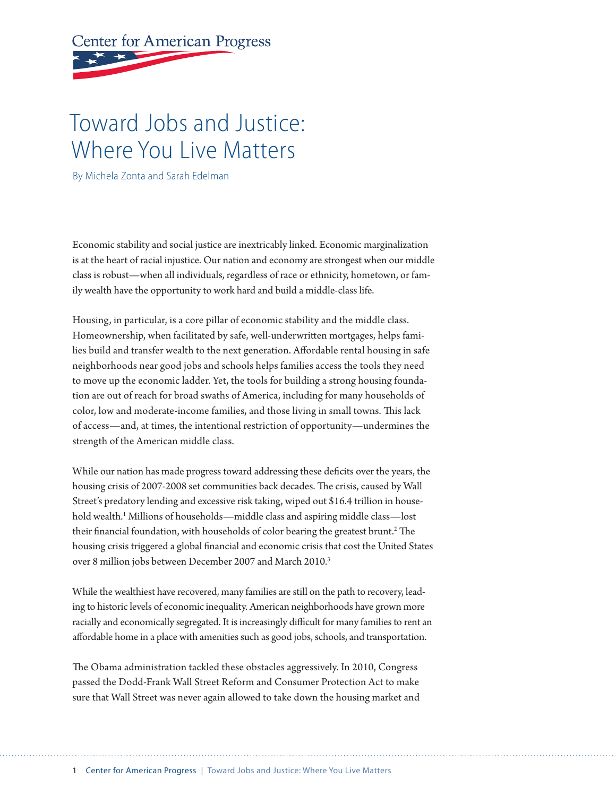# **Center for American Progress**

## Toward Jobs and Justice: Where You Live Matters

By Michela Zonta and Sarah Edelman

Economic stability and social justice are inextricably linked. Economic marginalization is at the heart of racial injustice. Our nation and economy are strongest when our middle class is robust—when all individuals, regardless of race or ethnicity, hometown, or family wealth have the opportunity to work hard and build a middle-class life.

Housing, in particular, is a core pillar of economic stability and the middle class. Homeownership, when facilitated by safe, well-underwritten mortgages, helps families build and transfer wealth to the next generation. Affordable rental housing in safe neighborhoods near good jobs and schools helps families access the tools they need to move up the economic ladder. Yet, the tools for building a strong housing foundation are out of reach for broad swaths of America, including for many households of color, low and moderate-income families, and those living in small towns. This lack of access—and, at times, the intentional restriction of opportunity—undermines the strength of the American middle class.

While our nation has made progress toward addressing these deficits over the years, the housing crisis of 2007-2008 set communities back decades. The crisis, caused by Wall Street's predatory lending and excessive risk taking, wiped out \$16.4 trillion in household wealth.1 Millions of households—middle class and aspiring middle class—lost their financial foundation, with households of color bearing the greatest brunt.2 The housing crisis triggered a global financial and economic crisis that cost the United States over 8 million jobs between December 2007 and March 2010.3

While the wealthiest have recovered, many families are still on the path to recovery, leading to historic levels of economic inequality. American neighborhoods have grown more racially and economically segregated. It is increasingly difficult for many families to rent an affordable home in a place with amenities such as good jobs, schools, and transportation.

The Obama administration tackled these obstacles aggressively. In 2010, Congress passed the Dodd-Frank Wall Street Reform and Consumer Protection Act to make sure that Wall Street was never again allowed to take down the housing market and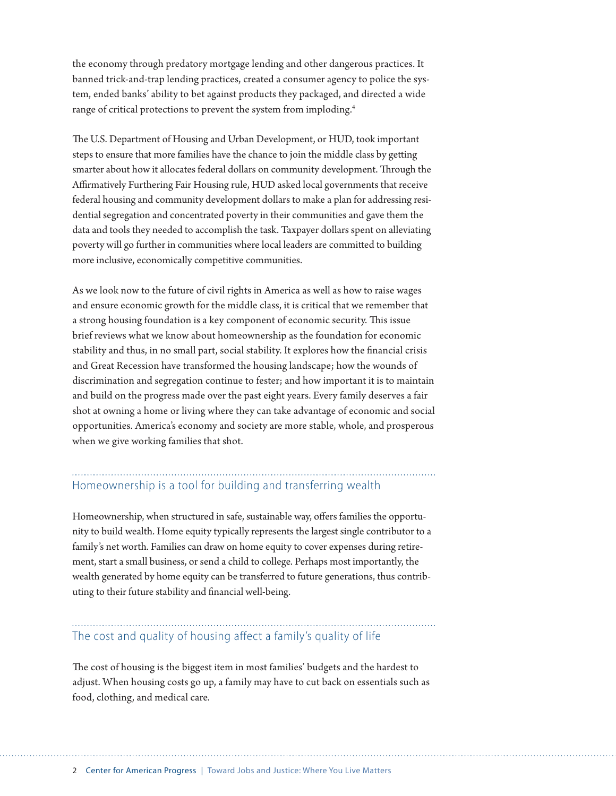the economy through predatory mortgage lending and other dangerous practices. It banned trick-and-trap lending practices, created a consumer agency to police the system, ended banks' ability to bet against products they packaged, and directed a wide range of critical protections to prevent the system from imploding.<sup>4</sup>

The U.S. Department of Housing and Urban Development, or HUD, took important steps to ensure that more families have the chance to join the middle class by getting smarter about how it allocates federal dollars on community development. Through the Affirmatively Furthering Fair Housing rule, HUD asked local governments that receive federal housing and community development dollars to make a plan for addressing residential segregation and concentrated poverty in their communities and gave them the data and tools they needed to accomplish the task. Taxpayer dollars spent on alleviating poverty will go further in communities where local leaders are committed to building more inclusive, economically competitive communities.

As we look now to the future of civil rights in America as well as how to raise wages and ensure economic growth for the middle class, it is critical that we remember that a strong housing foundation is a key component of economic security. This issue brief reviews what we know about homeownership as the foundation for economic stability and thus, in no small part, social stability. It explores how the financial crisis and Great Recession have transformed the housing landscape; how the wounds of discrimination and segregation continue to fester; and how important it is to maintain and build on the progress made over the past eight years. Every family deserves a fair shot at owning a home or living where they can take advantage of economic and social opportunities. America's economy and society are more stable, whole, and prosperous when we give working families that shot.

## Homeownership is a tool for building and transferring wealth

Homeownership, when structured in safe, sustainable way, offers families the opportunity to build wealth. Home equity typically represents the largest single contributor to a family's net worth. Families can draw on home equity to cover expenses during retirement, start a small business, or send a child to college. Perhaps most importantly, the wealth generated by home equity can be transferred to future generations, thus contributing to their future stability and financial well-being.

#### The cost and quality of housing affect a family's quality of life

The cost of housing is the biggest item in most families' budgets and the hardest to adjust. When housing costs go up, a family may have to cut back on essentials such as food, clothing, and medical care.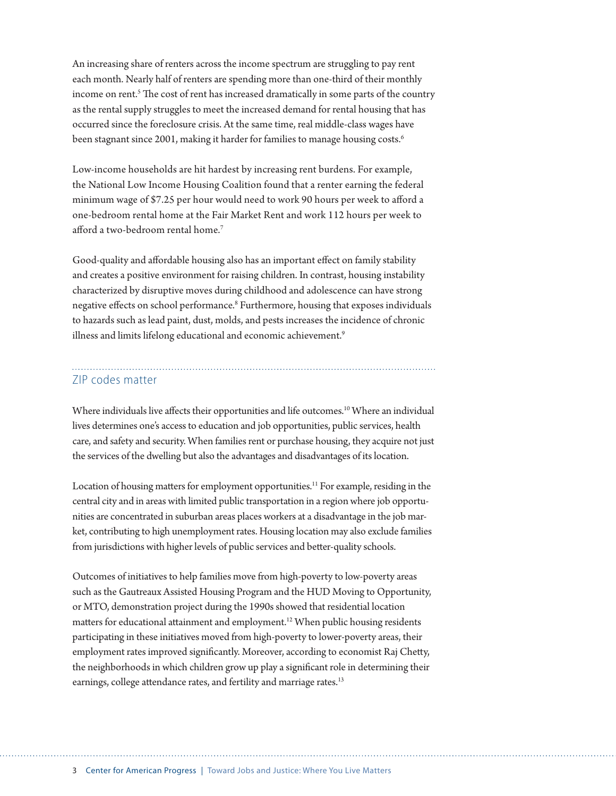An increasing share of renters across the income spectrum are struggling to pay rent each month. Nearly half of renters are spending more than one-third of their monthly income on rent.<sup>5</sup> The cost of rent has increased dramatically in some parts of the country as the rental supply struggles to meet the increased demand for rental housing that has occurred since the foreclosure crisis. At the same time, real middle-class wages have been stagnant since 2001, making it harder for families to manage housing costs.<sup>6</sup>

Low-income households are hit hardest by increasing rent burdens. For example, the National Low Income Housing Coalition found that a renter earning the federal minimum wage of \$7.25 per hour would need to work 90 hours per week to afford a one-bedroom rental home at the Fair Market Rent and work 112 hours per week to afford a two-bedroom rental home.7

Good-quality and affordable housing also has an important effect on family stability and creates a positive environment for raising children. In contrast, housing instability characterized by disruptive moves during childhood and adolescence can have strong negative effects on school performance.<sup>8</sup> Furthermore, housing that exposes individuals to hazards such as lead paint, dust, molds, and pests increases the incidence of chronic illness and limits lifelong educational and economic achievement.<sup>9</sup>

#### ZIP codes matter

Where individuals live affects their opportunities and life outcomes.<sup>10</sup> Where an individual lives determines one's access to education and job opportunities, public services, health care, and safety and security. When families rent or purchase housing, they acquire not just the services of the dwelling but also the advantages and disadvantages of its location.

Location of housing matters for employment opportunities.<sup>11</sup> For example, residing in the central city and in areas with limited public transportation in a region where job opportunities are concentrated in suburban areas places workers at a disadvantage in the job market, contributing to high unemployment rates. Housing location may also exclude families from jurisdictions with higher levels of public services and better-quality schools.

Outcomes of initiatives to help families move from high-poverty to low-poverty areas such as the Gautreaux Assisted Housing Program and the HUD Moving to Opportunity, or MTO, demonstration project during the 1990s showed that residential location matters for educational attainment and employment.<sup>12</sup> When public housing residents participating in these initiatives moved from high-poverty to lower-poverty areas, their employment rates improved significantly. Moreover, according to economist Raj Chetty, the neighborhoods in which children grow up play a significant role in determining their earnings, college attendance rates, and fertility and marriage rates.<sup>13</sup>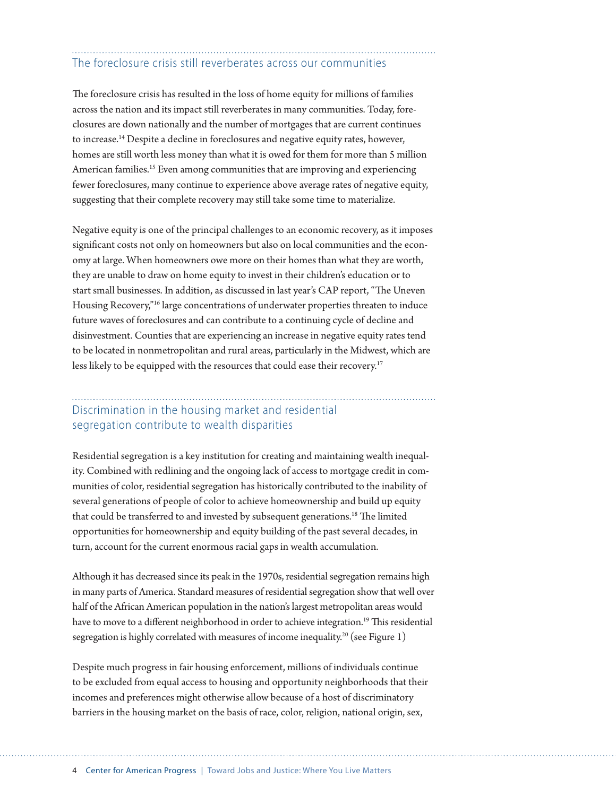### The foreclosure crisis still reverberates across our communities

The foreclosure crisis has resulted in the loss of home equity for millions of families across the nation and its impact still reverberates in many communities. Today, foreclosures are down nationally and the number of mortgages that are current continues to increase.14 Despite a decline in foreclosures and negative equity rates, however, homes are still worth less money than what it is owed for them for more than 5 million American families.15 Even among communities that are improving and experiencing fewer foreclosures, many continue to experience above average rates of negative equity, suggesting that their complete recovery may still take some time to materialize.

Negative equity is one of the principal challenges to an economic recovery, as it imposes significant costs not only on homeowners but also on local communities and the economy at large. When homeowners owe more on their homes than what they are worth, they are unable to draw on home equity to invest in their children's education or to start small businesses. In addition, as discussed in last year's CAP report, "The Uneven Housing Recovery,"16 large concentrations of underwater properties threaten to induce future waves of foreclosures and can contribute to a continuing cycle of decline and disinvestment. Counties that are experiencing an increase in negative equity rates tend to be located in nonmetropolitan and rural areas, particularly in the Midwest, which are less likely to be equipped with the resources that could ease their recovery.<sup>17</sup>

#### Discrimination in the housing market and residential segregation contribute to wealth disparities

Residential segregation is a key institution for creating and maintaining wealth inequality. Combined with redlining and the ongoing lack of access to mortgage credit in communities of color, residential segregation has historically contributed to the inability of several generations of people of color to achieve homeownership and build up equity that could be transferred to and invested by subsequent generations.<sup>18</sup> The limited opportunities for homeownership and equity building of the past several decades, in turn, account for the current enormous racial gaps in wealth accumulation.

Although it has decreased since its peak in the 1970s, residential segregation remains high in many parts of America. Standard measures of residential segregation show that well over half of the African American population in the nation's largest metropolitan areas would have to move to a different neighborhood in order to achieve integration.<sup>19</sup> This residential segregation is highly correlated with measures of income inequality.<sup>20</sup> (see Figure 1)

Despite much progress in fair housing enforcement, millions of individuals continue to be excluded from equal access to housing and opportunity neighborhoods that their incomes and preferences might otherwise allow because of a host of discriminatory barriers in the housing market on the basis of race, color, religion, national origin, sex,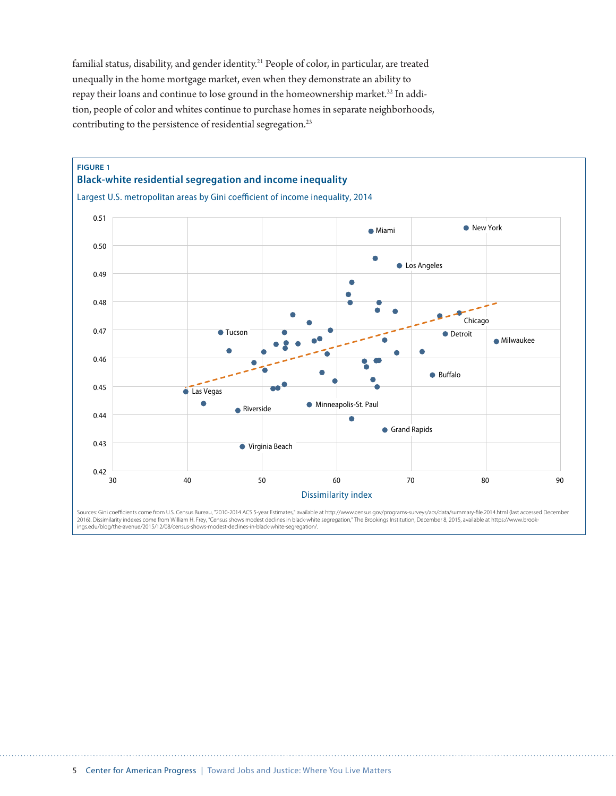familial status, disability, and gender identity.<sup>21</sup> People of color, in particular, are treated unequally in the home mortgage market, even when they demonstrate an ability to repay their loans and continue to lose ground in the homeownership market.<sup>22</sup> In addition, people of color and whites continue to purchase homes in separate neighborhoods, contributing to the persistence of residential segregation.<sup>23</sup>



ings.edu/blog/the-avenue/2015/12/08/census-shows-modest-declines-in-black-white-segregation/.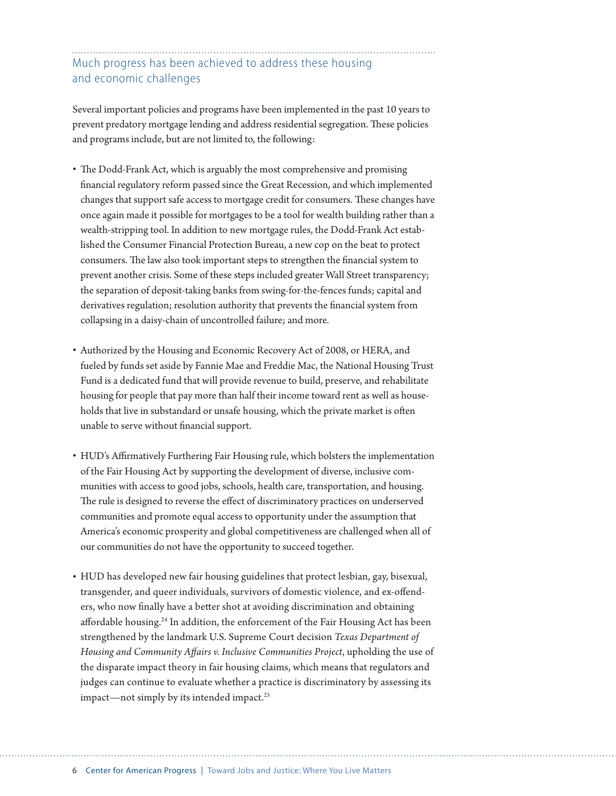#### Much progress has been achieved to address these housing and economic challenges

Several important policies and programs have been implemented in the past 10 years to prevent predatory mortgage lending and address residential segregation. These policies and programs include, but are not limited to, the following:

- The Dodd-Frank Act, which is arguably the most comprehensive and promising financial regulatory reform passed since the Great Recession, and which implemented changes that support safe access to mortgage credit for consumers. These changes have once again made it possible for mortgages to be a tool for wealth building rather than a wealth-stripping tool. In addition to new mortgage rules, the Dodd-Frank Act established the Consumer Financial Protection Bureau, a new cop on the beat to protect consumers. The law also took important steps to strengthen the financial system to prevent another crisis. Some of these steps included greater Wall Street transparency; the separation of deposit-taking banks from swing-for-the-fences funds; capital and derivatives regulation; resolution authority that prevents the financial system from collapsing in a daisy-chain of uncontrolled failure; and more.
- Authorized by the Housing and Economic Recovery Act of 2008, or HERA, and fueled by funds set aside by Fannie Mae and Freddie Mac, the National Housing Trust Fund is a dedicated fund that will provide revenue to build, preserve, and rehabilitate housing for people that pay more than half their income toward rent as well as households that live in substandard or unsafe housing, which the private market is often unable to serve without financial support.
- HUD's Affirmatively Furthering Fair Housing rule, which bolsters the implementation of the Fair Housing Act by supporting the development of diverse, inclusive communities with access to good jobs, schools, health care, transportation, and housing. The rule is designed to reverse the effect of discriminatory practices on underserved communities and promote equal access to opportunity under the assumption that America's economic prosperity and global competitiveness are challenged when all of our communities do not have the opportunity to succeed together.
- HUD has developed new fair housing guidelines that protect lesbian, gay, bisexual, transgender, and queer individuals, survivors of domestic violence, and ex-offenders, who now finally have a better shot at avoiding discrimination and obtaining affordable housing.<sup>24</sup> In addition, the enforcement of the Fair Housing Act has been strengthened by the landmark U.S. Supreme Court decision *Texas Department of Housing and Community Affairs v. Inclusive Communities Project*, upholding the use of the disparate impact theory in fair housing claims, which means that regulators and judges can continue to evaluate whether a practice is discriminatory by assessing its impact—not simply by its intended impact.<sup>25</sup>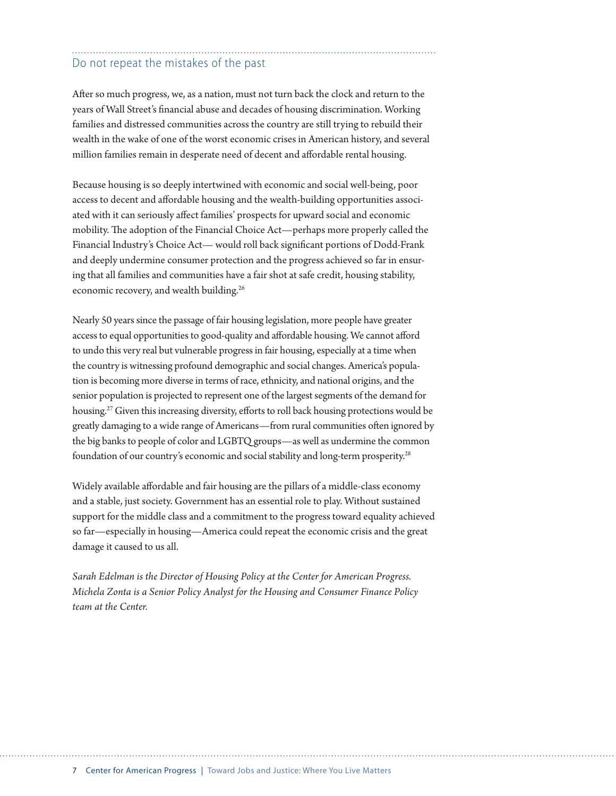#### Do not repeat the mistakes of the past

After so much progress, we, as a nation, must not turn back the clock and return to the years of Wall Street's financial abuse and decades of housing discrimination. Working families and distressed communities across the country are still trying to rebuild their wealth in the wake of one of the worst economic crises in American history, and several million families remain in desperate need of decent and affordable rental housing.

Because housing is so deeply intertwined with economic and social well-being, poor access to decent and affordable housing and the wealth-building opportunities associated with it can seriously affect families' prospects for upward social and economic mobility. The adoption of the Financial Choice Act—perhaps more properly called the Financial Industry's Choice Act— would roll back significant portions of Dodd-Frank and deeply undermine consumer protection and the progress achieved so far in ensuring that all families and communities have a fair shot at safe credit, housing stability, economic recovery, and wealth building.<sup>26</sup>

Nearly 50 years since the passage of fair housing legislation, more people have greater access to equal opportunities to good-quality and affordable housing. We cannot afford to undo this very real but vulnerable progress in fair housing, especially at a time when the country is witnessing profound demographic and social changes. America's population is becoming more diverse in terms of race, ethnicity, and national origins, and the senior population is projected to represent one of the largest segments of the demand for housing.<sup>27</sup> Given this increasing diversity, efforts to roll back housing protections would be greatly damaging to a wide range of Americans—from rural communities often ignored by the big banks to people of color and LGBTQ groups—as well as undermine the common foundation of our country's economic and social stability and long-term prosperity.<sup>28</sup>

Widely available affordable and fair housing are the pillars of a middle-class economy and a stable, just society. Government has an essential role to play. Without sustained support for the middle class and a commitment to the progress toward equality achieved so far—especially in housing—America could repeat the economic crisis and the great damage it caused to us all.

*Sarah Edelman is the Director of Housing Policy at the Center for American Progress. Michela Zonta is a Senior Policy Analyst for the Housing and Consumer Finance Policy team at the Center.*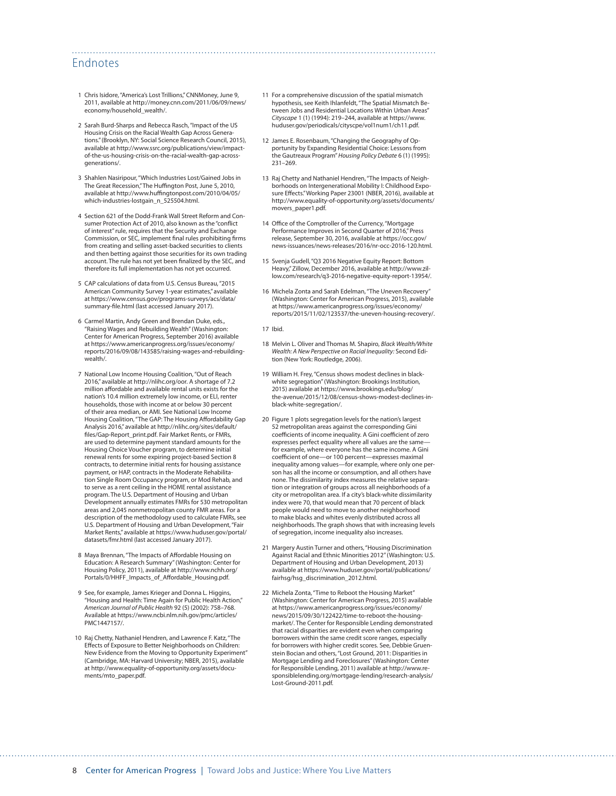#### Endnotes

- 1 Chris Isidore, "America's Lost Trillions," CNNMoney, June 9, 2011, available at http://money.cnn.com/2011/06/09/news/ economy/household\_wealth/.
- 2 Sarah Burd-Sharps and Rebecca Rasch, "Impact of the US Housing Crisis on the Racial Wealth Gap Across Generations." (Brooklyn, NY: Social Science Research Council, 2015), available at http://www.ssrc.org/publications/view/impactof-the-us-housing-crisis-on-the-racial-wealth-gap-acrossgenerations/.
- 3 Shahlen Nasiripour, "Which Industries Lost/Gained Jobs in The Great Recession," The Huffington Post, June 5, 2010, available at http://www.huffingtonpost.com/2010/04/05/ which-industries-lostgain\_n\_525504.html.
- 4 Section 621 of the Dodd-Frank Wall Street Reform and Consumer Protection Act of 2010, also known as the "conflict of interest" rule, requires that the Security and Exchange Commission, or SEC, implement final rules prohibiting firms from creating and selling asset-backed securities to clients and then betting against those securities for its own trading account. The rule has not yet been finalized by the SEC, and therefore its full implementation has not yet occurred.
- 5 CAP calculations of data from U.S. Census Bureau, "2015 American Community Survey 1-year estimates," available at [https://www.census.gov/programs-surveys/acs/data/](https://www.census.gov/programs-surveys/acs/data/summary-file.html) [summary-file.html](https://www.census.gov/programs-surveys/acs/data/summary-file.html) (last accessed January 2017).
- 6 Carmel Martin, Andy Green and Brendan Duke, eds., "Raising Wages and Rebuilding Wealth" (Washington: Center for American Progress, September 2016) available at https://www.americanprogress.org/issues/economy/ reports/2016/09/08/143585/raising-wages-and-rebuildingwealth/.
- 7 National Low Income Housing Coalition, "Out of Reach 2016," available at http://nlihc.org/oor. A shortage of 7.2 million affordable and available rental units exists for the nation's 10.4 million extremely low income, or ELI, renter households, those with income at or below 30 percent of their area median, or AMI. See National Low Income Housing Coalition, "The GAP: The Housing Affordability Gap Analysis 2016," available at [http://nlihc.org/sites/default/](http://nlihc.org/sites/default/files/Gap-Report_print.pdf) [files/Gap-Report\\_print.pdf](http://nlihc.org/sites/default/files/Gap-Report_print.pdf). Fair Market Rents, or FMRs, are used to determine payment standard amounts for the Housing Choice Voucher program, to determine initial renewal rents for some expiring project-based Section 8 contracts, to determine initial rents for housing assistance payment, or HAP, contracts in the Moderate Rehabilitation Single Room Occupancy program, or Mod Rehab, and to serve as a rent ceiling in the HOME rental assistance program. The U.S. Department of Housing and Urban Development annually estimates FMRs for 530 metropolitan areas and 2,045 nonmetropolitan county FMR areas. For a description of the methodology used to calculate FMRs, see U.S. Department of Housing and Urban Development, "Fair Market Rents," available at [https://www.huduser.gov/portal/](https://www.huduser.gov/portal/datasets/fmr.html) [datasets/fmr.html](https://www.huduser.gov/portal/datasets/fmr.html) (last accessed January 2017).
- 8 Maya Brennan, "The Impacts of Affordable Housing on Education: A Research Summary" (Washington: Center for Housing Policy, 2011), available at http://www.nchh.org/ Portals/0/HHFF\_Impacts\_of\_Affordable\_Housing.pdf.
- 9 See, for example, James Krieger and Donna L. Higgins, "Housing and Health: Time Again for Public Health Action," *American Journal of Public Health* 92 (5) (2002): 758–768. Available at https://www.ncbi.nlm.nih.gov/pmc/articles/ PMC1447157/.
- 10 Raj Chetty, Nathaniel Hendren, and Lawrence F. Katz, "The Effects of Exposure to Better Neighborhoods on Children: New Evidence from the Moving to Opportunity Experiment" (Cambridge, MA: Harvard University; NBER, 2015), available at http://www.equality-of-opportunity.org/assets/documents/mto\_paper.pdf.
- 11 For a comprehensive discussion of the spatial mismatch hypothesis, see Keith Ihlanfeldt, "The Spatial Mismatch Between Jobs and Residential Locations Within Urban Areas" *Cityscape* 1 (1) (1994): 219–244, available at https://www. huduser.gov/periodicals/cityscpe/vol1num1/ch11.pdf.
- 12 James E. Rosenbaum, "Changing the Geography of Opportunity by Expanding Residential Choice: Lessons from the Gautreaux Program" *Housing Policy Debate* 6 (1) (1995): 231–269.
- 13 Raj Chetty and Nathaniel Hendren, "The Impacts of Neighborhoods on Intergenerational Mobility I: Childhood Exposure Effects." Working Paper 23001 (NBER, 2016), available at http://www.equality-of-opportunity.org/assets/documents/ movers\_paper1.pdf.
- 14 Office of the Comptroller of the Currency, "Mortgage Performance Improves in Second Quarter of 2016," Press release, September 30, 2016, available at https://occ.gov/ news-issuances/news-releases/2016/nr-occ-2016-120.html.
- 15 Svenja Gudell, "Q3 2016 Negative Equity Report: Bottom Heavy," Zillow, December 2016, available at http://www.zillow.com/research/q3-2016-negative-equity-report-13954/.
- 16 Michela Zonta and Sarah Edelman, "The Uneven Recovery" (Washington: Center for American Progress, 2015), available at https://www.americanprogress.org/issues/economy/ reports/2015/11/02/123537/the-uneven-housing-recovery/.
- 17 Ibid.

- 18 Melvin L. Oliver and Thomas M. Shapiro, *Black Wealth/White Wealth: A New Perspective on Racial Inequality:* Second Edition (New York: Routledge, 2006).
- 19 William H. Frey, "Census shows modest declines in blackwhite segregation" (Washington: Brookings Institution, 2015) available at https://www.brookings.edu/blog/ the-avenue/2015/12/08/census-shows-modest-declines-inblack-white-segregation/.
- 20 Figure 1 plots segregation levels for the nation's largest 52 metropolitan areas against the corresponding Gini coefficients of income inequality. A Gini coefficient of zero expresses perfect equality where all values are the same for example, where everyone has the same income. A Gini coefficient of one—or 100 percent—expresses maximal inequality among values—for example, where only one person has all the income or consumption, and all others have none. The dissimilarity index measures the relative separation or integration of groups across all neighborhoods of a city or metropolitan area. If a city's black-white dissimilarity index were 70, that would mean that 70 percent of black people would need to move to another neighborhood to make blacks and whites evenly distributed across all neighborhoods. The graph shows that with increasing levels of segregation, income inequality also increases.
- 21 Margery Austin Turner and others, "Housing Discrimination Against Racial and Ethnic Minorities 2012" (Washington: U.S. Department of Housing and Urban Development, 2013) available at https://www.huduser.gov/portal/publications/ fairhsg/hsg\_discrimination\_2012.html.
- 22 Michela Zonta, "Time to Reboot the Housing Market" (Washington: Center for American Progress, 2015) available at [https://www.americanprogress.org/issues/economy/](https://www.americanprogress.org/issues/economy/news/2015/09/30/122422/time-to-reboot-the-housing-market/) [news/2015/09/30/122422/time-to-reboot-the-housing](https://www.americanprogress.org/issues/economy/news/2015/09/30/122422/time-to-reboot-the-housing-market/)[market/.](https://www.americanprogress.org/issues/economy/news/2015/09/30/122422/time-to-reboot-the-housing-market/) The Center for Responsible Lending demonstrated that racial disparities are evident even when comparing borrowers within the same credit score ranges, especially for borrowers with higher credit scores. See, Debbie Gruen-stein Bocian and others, "Lost Ground, 2011: Disparities in Mortgage Lending and Foreclosures" (Washington: Center for Responsible Lending, 2011) available at http://www.responsiblelending.org/mortgage-lending/research-analysis/ Lost-Ground-2011.pdf.